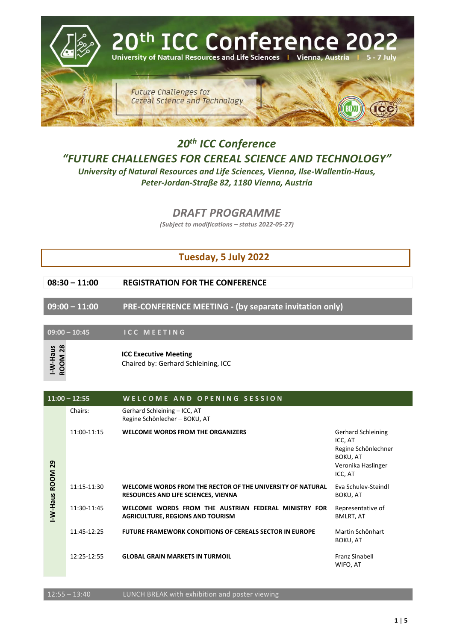

## *20th ICC Conference "FUTURE CHALLENGES FOR CEREAL SCIENCE AND TECHNOLOGY"*

*University of Natural Resources and Life Sciences, Vienna, Ilse-Wallentin-Haus, Peter-Jordan-Straße 82, 1180 Vienna, Austria*

*DRAFT PROGRAMME*

*(Subject to modifications – status 2022-05-27)*

## **Tuesday, 5 July 2022**

**09:00 – 11:00 PRE-CONFERENCE MEETING - (by separate invitation only)**

**09:00 – 10:45 I C C M E E T I N G** 

|             | WELCOME AND OPENING SESSION                                                                       |                                                                                                          |
|-------------|---------------------------------------------------------------------------------------------------|----------------------------------------------------------------------------------------------------------|
| Chairs:     | Gerhard Schleining - ICC, AT<br>Regine Schönlecher - BOKU, AT                                     |                                                                                                          |
| 11:00-11:15 | <b>WELCOME WORDS FROM THE ORGANIZERS</b>                                                          | <b>Gerhard Schleining</b><br>ICC, AT<br>Regine Schönlechner<br>BOKU, AT<br>Veronika Haslinger<br>ICC, AT |
| 11:15-11:30 | WELCOME WORDS FROM THE RECTOR OF THE UNIVERSITY OF NATURAL<br>RESOURCES AND LIFE SCIENCES, VIENNA | Eva Schulev-Steindl<br>BOKU, AT                                                                          |
| 11:30-11:45 | WELCOME WORDS FROM THE AUSTRIAN FEDERAL MINISTRY FOR<br><b>AGRICULTURE, REGIONS AND TOURISM</b>   | Representative of<br>BMLRT, AT                                                                           |
| 11:45-12:25 | <b>FUTURE FRAMEWORK CONDITIONS OF CEREALS SECTOR IN EUROPE</b>                                    | Martin Schönhart<br>BOKU, AT                                                                             |
| 12:25-12:55 | <b>GLOBAL GRAIN MARKETS IN TURMOIL</b>                                                            | <b>Franz Sinabell</b><br>WIFO, AT                                                                        |
|             | $11:00 - 12:55$                                                                                   |                                                                                                          |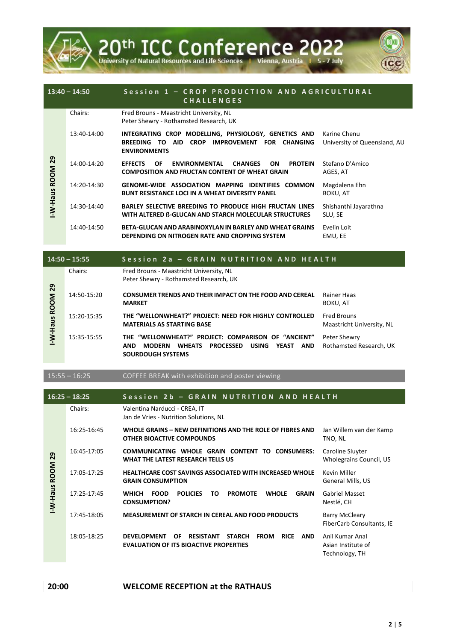

|                            | $13:40 - 14:50$ | Session 1 - CROP PRODUCTION AND AGRICULTURAL<br><b>CHALLENGES</b>                                                                                                                  |                                              |
|----------------------------|-----------------|------------------------------------------------------------------------------------------------------------------------------------------------------------------------------------|----------------------------------------------|
|                            | Chairs:         | Fred Brouns - Maastricht University, NL<br>Peter Shewry - Rothamsted Research, UK                                                                                                  |                                              |
|                            | 13:40-14:00     | INTEGRATING CROP MODELLING, PHYSIOLOGY, GENETICS AND<br><b>AID</b><br><b>CROP</b><br><b>IMPROVEMENT</b><br><b>BREEDING</b><br>TO.<br>FOR<br><b>CHANGING</b><br><b>ENVIRONMENTS</b> | Karine Chenu<br>University of Queensland, AU |
| <b>ROOM 29</b><br>sneH-W-I | 14:00-14:20     | <b>ENVIRONMENTAL</b><br><b>ON</b><br><b>PROTEIN</b><br><b>EFFECTS</b><br><b>CHANGES</b><br>OF.<br><b>COMPOSITION AND FRUCTAN CONTENT OF WHEAT GRAIN</b>                            | Stefano D'Amico<br>AGES, AT                  |
|                            | 14:20-14:30     | <b>GENOME-WIDE ASSOCIATION MAPPING IDENTIFIES COMMON</b><br><b>BUNT RESISTANCE LOCI IN A WHEAT DIVERSITY PANEL</b>                                                                 | Magdalena Ehn<br>BOKU, AT                    |
|                            | 14:30-14:40     | <b>BARLEY SELECTIVE BREEDING TO PRODUCE HIGH FRUCTAN LINES</b><br>WITH ALTERED B-GLUCAN AND STARCH MOLECULAR STRUCTURES                                                            | Shishanthi Jayarathna<br>SLU, SE             |
|                            | 14:40-14:50     | BETA-GLUCAN AND ARABINOXYLAN IN BARLEY AND WHEAT GRAINS<br>DEPENDING ON NITROGEN RATE AND CROPPING SYSTEM                                                                          | Evelin Loit<br>EMU, EE                       |

|                | $14:50 - 15:55$ | Session 2a - GRAIN NUTRITION AND HEALTH                                                                                                                                             |                                                 |
|----------------|-----------------|-------------------------------------------------------------------------------------------------------------------------------------------------------------------------------------|-------------------------------------------------|
|                | Chairs:         | Fred Brouns - Maastricht University, NL<br>Peter Shewry - Rothamsted Research, UK                                                                                                   |                                                 |
| <b>ROOM 29</b> | 14:50-15:20     | <b>CONSUMER TRENDS AND THEIR IMPACT ON THE FOOD AND CEREAL</b><br><b>MARKET</b>                                                                                                     | Rainer Haas<br>BOKU. AT                         |
| -W-Haus        | 15:20-15:35     | THE "WELLONWHEAT?" PROJECT: NEED FOR HIGHLY CONTROLLED<br><b>MATERIALS AS STARTING BASE</b>                                                                                         | <b>Fred Brouns</b><br>Maastricht University, NL |
|                | 15:35-15:55     | THE "WELLONWHEAT?" PROJECT: COMPARISON OF "ANCIENT"<br><b>PROCESSED</b><br><b>USING</b><br><b>WHEATS</b><br>YEAST<br>AND<br><b>MODERN</b><br><b>AND</b><br><b>SOURDOUGH SYSTEMS</b> | Peter Shewry<br>Rothamsted Research, UK         |

15:55 – 16:25 COFFEE BREAK with exhibition and poster viewing

|                                | $16:25 - 18:25$ | Session 2b - GRAIN NUTRITION AND HEALTH                                                                                                             |                                                         |
|--------------------------------|-----------------|-----------------------------------------------------------------------------------------------------------------------------------------------------|---------------------------------------------------------|
|                                | Chairs:         | Valentina Narducci - CREA, IT<br>Jan de Vries - Nutrition Solutions, NL                                                                             |                                                         |
|                                | 16:25-16:45     | WHOLE GRAINS - NEW DEFINITIONS AND THE ROLE OF FIBRES AND<br><b>OTHER BIOACTIVE COMPOUNDS</b>                                                       | Jan Willem van der Kamp<br>TNO, NL                      |
| 29                             | 16:45-17:05     | COMMUNICATING WHOLE GRAIN CONTENT TO CONSUMERS:<br>WHAT THE LATEST RESEARCH TELLS US                                                                | Caroline Sluyter<br>Wholegrains Council, US             |
| <b>ROOM</b><br><b>SneH-W-I</b> | 17:05-17:25     | <b>HEALTHCARE COST SAVINGS ASSOCIATED WITH INCREASED WHOLE</b><br><b>GRAIN CONSUMPTION</b>                                                          | Kevin Miller<br>General Mills, US                       |
|                                | 17:25-17:45     | <b>WHICH</b><br><b>FOOD</b><br><b>POLICIES</b><br><b>PROMOTE</b><br><b>WHOLE</b><br><b>GRAIN</b><br>TO.<br><b>CONSUMPTION?</b>                      | <b>Gabriel Masset</b><br>Nestlé, CH                     |
|                                | 17:45-18:05     | <b>MEASUREMENT OF STARCH IN CEREAL AND FOOD PRODUCTS</b>                                                                                            | <b>Barry McCleary</b><br>FiberCarb Consultants, IE      |
|                                | 18:05-18:25     | <b>DEVELOPMENT</b><br><b>RESISTANT</b><br><b>STARCH</b><br><b>FROM</b><br>OF<br><b>RICE</b><br>AND<br><b>EVALUATION OF ITS BIOACTIVE PROPERTIES</b> | Anil Kumar Anal<br>Asian Institute of<br>Technology, TH |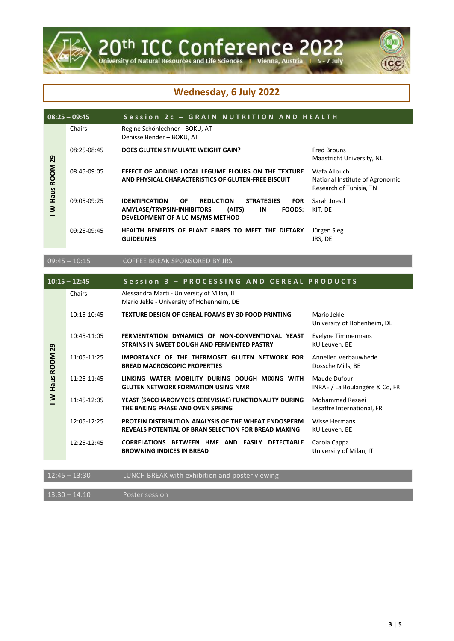

## **Wednesday, 6 July 2022**

| Chairs:<br>Regine Schönlechner - BOKU, AT<br>Denisse Bender - BOKU, AT<br>08:25-08:45<br>DOES GLUTEN STIMULATE WEIGHT GAIN?<br><b>Fred Brouns</b><br>29<br>Maastricht University, NL<br><b>ROOM</b><br>Wafa Allouch<br>08:45-09:05<br>EFFECT OF ADDING LOCAL LEGUME FLOURS ON THE TEXTURE<br>AND PHYSICAL CHARACTERISTICS OF GLUTEN-FREE BISCUIT<br>National Institute of Agronomic<br>Research of Tunisia, TN<br>-W-Haus<br>Sarah Joestl<br>09:05-09:25<br><b>IDENTIFICATION</b><br><b>OF</b><br><b>REDUCTION</b><br><b>STRATEGIES</b><br><b>FOR</b><br>AMYLASE/TRYPSIN-INHIBITORS<br>(AITS)<br>IN<br><b>FOODS:</b><br>KIT, DE<br>DEVELOPMENT OF A LC-MS/MS METHOD<br>09:25-09:45<br>HEALTH BENEFITS OF PLANT FIBRES TO MEET THE DIETARY<br>Jürgen Sieg<br>JRS, DE<br><b>GUIDELINES</b> | $08:25 - 09:45$ | Session 2c - GRAIN NUTRITION AND HEALTH |  |
|------------------------------------------------------------------------------------------------------------------------------------------------------------------------------------------------------------------------------------------------------------------------------------------------------------------------------------------------------------------------------------------------------------------------------------------------------------------------------------------------------------------------------------------------------------------------------------------------------------------------------------------------------------------------------------------------------------------------------------------------------------------------------------------|-----------------|-----------------------------------------|--|
|                                                                                                                                                                                                                                                                                                                                                                                                                                                                                                                                                                                                                                                                                                                                                                                          |                 |                                         |  |
|                                                                                                                                                                                                                                                                                                                                                                                                                                                                                                                                                                                                                                                                                                                                                                                          |                 |                                         |  |
|                                                                                                                                                                                                                                                                                                                                                                                                                                                                                                                                                                                                                                                                                                                                                                                          |                 |                                         |  |
|                                                                                                                                                                                                                                                                                                                                                                                                                                                                                                                                                                                                                                                                                                                                                                                          |                 |                                         |  |
|                                                                                                                                                                                                                                                                                                                                                                                                                                                                                                                                                                                                                                                                                                                                                                                          |                 |                                         |  |
| $09:45 - 10:15$<br><b>COFFEE BREAK SPONSORED BY JRS</b>                                                                                                                                                                                                                                                                                                                                                                                                                                                                                                                                                                                                                                                                                                                                  |                 |                                         |  |
| $S_{\alpha}$ ccion $2$ $-$ DDOCECCINC AND CEDEAI DDODUCTS<br>$10.1E - 10.1E$                                                                                                                                                                                                                                                                                                                                                                                                                                                                                                                                                                                                                                                                                                             |                 |                                         |  |

|              | $10:15 - 12:45$ | Session 3 - PROCESSING AND CEREAL PRODUCTS                                                                          |                                                |
|--------------|-----------------|---------------------------------------------------------------------------------------------------------------------|------------------------------------------------|
|              | Chairs:         | Alessandra Marti - University of Milan, IT<br>Mario Jekle - University of Hohenheim, DE                             |                                                |
|              | 10:15-10:45     | <b>TEXTURE DESIGN OF CEREAL FOAMS BY 3D FOOD PRINTING</b>                                                           | Mario Jekle<br>University of Hohenheim, DE     |
| 29           | 10:45-11:05     | FERMENTATION DYNAMICS OF NON-CONVENTIONAL YEAST<br>STRAINS IN SWEET DOUGH AND FERMENTED PASTRY                      | Evelyne Timmermans<br>KU Leuven, BE            |
|              | 11:05-11:25     | IMPORTANCE OF THE THERMOSET GLUTEN NETWORK FOR<br><b>BREAD MACROSCOPIC PROPERTIES</b>                               | Annelien Verbauwhede<br>Dossche Mills, BE      |
| -W-Haus ROOM | 11:25-11:45     | LINKING WATER MOBILITY DURING DOUGH MIXING WITH<br><b>GLUTEN NETWORK FORMATION USING NMR</b>                        | Maude Dufour<br>INRAE / La Boulangère & Co, FR |
|              | 11:45-12:05     | YEAST (SACCHAROMYCES CEREVISIAE) FUNCTIONALITY DURING<br>THE BAKING PHASE AND OVEN SPRING                           | Mohammad Rezaei<br>Lesaffre International, FR  |
|              | 12:05-12:25     | <b>PROTEIN DISTRIBUTION ANALYSIS OF THE WHEAT ENDOSPERM</b><br>REVEALS POTENTIAL OF BRAN SELECTION FOR BREAD MAKING | <b>Wisse Hermans</b><br>KU Leuven, BE          |
|              | 12:25-12:45     | CORRELATIONS BETWEEN HMF AND EASILY DETECTABLE<br><b>BROWNING INDICES IN BREAD</b>                                  | Carola Cappa<br>University of Milan, IT        |
|              |                 |                                                                                                                     |                                                |
|              | $12:45 - 13:30$ | LUNCH BREAK with exhibition and poster viewing                                                                      |                                                |

13:30 – 14:10 Poster session

 $\bigcirc$ 

(ICC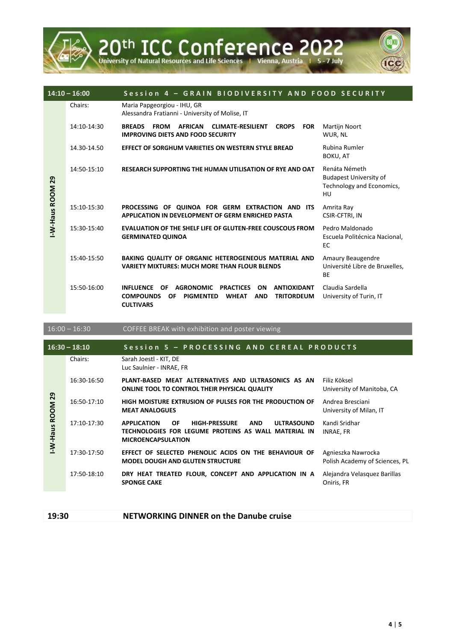

|                 | $14:10 - 16:00$ | Session 4 - GRAIN BIODIVERSITY AND FOOD SECURITY                                                                                                                                                                                     |                                                                                   |
|-----------------|-----------------|--------------------------------------------------------------------------------------------------------------------------------------------------------------------------------------------------------------------------------------|-----------------------------------------------------------------------------------|
|                 | Chairs:         | Maria Papgeorgiou - IHU, GR<br>Alessandra Fratianni - University of Molise, IT                                                                                                                                                       |                                                                                   |
|                 | 14:10-14:30     | <b>BREADS</b><br><b>AFRICAN</b><br><b>CLIMATE-RESILIENT</b><br><b>FROM</b><br><b>CROPS</b><br><b>FOR</b><br><b>IMPROVING DIETS AND FOOD SECURITY</b>                                                                                 | <b>Martijn Noort</b><br>WUR, NL                                                   |
|                 | 14.30-14.50     | EFFECT OF SORGHUM VARIETIES ON WESTERN STYLE BREAD                                                                                                                                                                                   | Rubina Rumler<br>BOKU, AT                                                         |
| -W-Haus ROOM 29 | 14:50-15:10     | <b>RESEARCH SUPPORTING THE HUMAN UTILISATION OF RYE AND OAT</b>                                                                                                                                                                      | Renáta Németh<br><b>Budapest University of</b><br>Technology and Economics,<br>HU |
|                 | 15:10-15:30     | PROCESSING OF QUINOA FOR GERM EXTRACTION AND ITS<br>APPLICATION IN DEVELOPMENT OF GERM ENRICHED PASTA                                                                                                                                | Amrita Ray<br>CSIR-CFTRI, IN                                                      |
|                 | 15:30-15:40     | <b>EVALUATION OF THE SHELF LIFE OF GLUTEN-FREE COUSCOUS FROM</b><br><b>GERMINATED QUINOA</b>                                                                                                                                         | Pedro Maldonado<br>Escuela Politécnica Nacional,<br>EC                            |
|                 | 15:40-15:50     | BAKING QUALITY OF ORGANIC HETEROGENEOUS MATERIAL AND<br><b>VARIETY MIXTURES: MUCH MORE THAN FLOUR BLENDS</b>                                                                                                                         | Amaury Beaugendre<br>Université Libre de Bruxelles,<br><b>BE</b>                  |
|                 | 15:50-16:00     | <b>INFLUENCE</b><br><b>OF</b><br><b>AGRONOMIC</b><br><b>PRACTICES</b><br><b>ON</b><br><b>ANTIOXIDANT</b><br><b>COMPOUNDS</b><br><b>PIGMENTED</b><br><b>WHEAT</b><br><b>AND</b><br><b>TRITORDEUM</b><br><b>OF</b><br><b>CULTIVARS</b> | Claudia Sardella<br>University of Turin, IT                                       |

|                  | $16:00 - 16:30$ | <b>COFFEE BREAK with exhibition and poster viewing</b>                                                                                                                          |                                                      |
|------------------|-----------------|---------------------------------------------------------------------------------------------------------------------------------------------------------------------------------|------------------------------------------------------|
|                  | $16:30 - 18:10$ | Session 5 - PROCESSING AND CEREAL PRODUCTS                                                                                                                                      |                                                      |
|                  | Chairs:         | Sarah Joestl - KIT, DE<br>Luc Saulnier - INRAE, FR                                                                                                                              |                                                      |
|                  | 16:30-16:50     | PLANT-BASED MEAT ALTERNATIVES AND ULTRASONICS AS AN<br>ONLINE TOOL TO CONTROL THEIR PHYSICAL QUALITY                                                                            | Filiz Köksel<br>University of Manitoba, CA           |
| I-W-Haus ROOM 29 | 16:50-17:10     | HIGH MOISTURE EXTRUSION OF PULSES FOR THE PRODUCTION OF<br><b>MEAT ANALOGUES</b>                                                                                                | Andrea Bresciani<br>University of Milan, IT          |
|                  | 17:10-17:30     | <b>OF</b><br><b>HIGH-PRESSURE</b><br><b>ULTRASOUND</b><br><b>APPLICATION</b><br><b>AND</b><br>TECHNOLOGIES FOR LEGUME PROTEINS AS WALL MATERIAL IN<br><b>MICROENCAPSULATION</b> | Kandi Sridhar<br>INRAE, FR                           |
|                  | 17:30-17:50     | EFFECT OF SELECTED PHENOLIC ACIDS ON THE BEHAVIOUR OF<br><b>MODEL DOUGH AND GLUTEN STRUCTURE</b>                                                                                | Agnieszka Nawrocka<br>Polish Academy of Sciences, PL |
|                  | 17:50-18:10     | DRY HEAT TREATED FLOUR, CONCEPT AND APPLICATION IN A<br><b>SPONGE CAKE</b>                                                                                                      | Alejandra Velasquez Barillas<br>Oniris, FR           |
|                  |                 |                                                                                                                                                                                 |                                                      |

**19:30 NETWORKING DINNER on the Danube cruise**